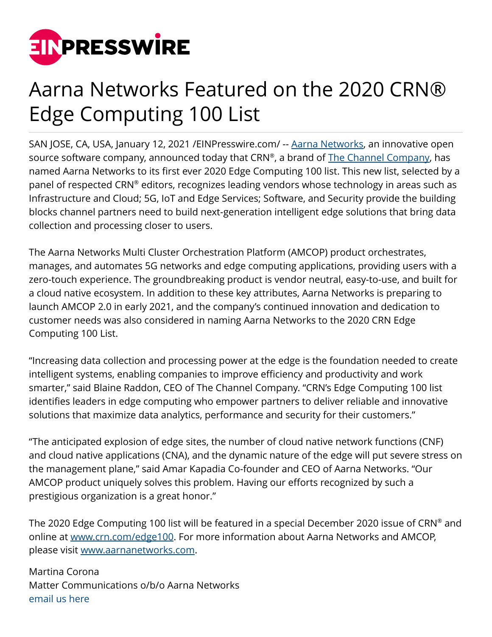

## Aarna Networks Featured on the 2020 CRN® Edge Computing 100 List

SAN JOSE, CA, USA, January 12, 2021 / EINPresswire.com/ -- [Aarna Networks](http://www.aarnanetworks.com/), an innovative open source software company, announced today that CRN®, a brand of <u>The Channel Company</u>, has named Aarna Networks to its first ever 2020 Edge Computing 100 list. This new list, selected by a panel of respected CRN® editors, recognizes leading vendors whose technology in areas such as Infrastructure and Cloud; 5G, IoT and Edge Services; Software, and Security provide the building blocks channel partners need to build next-generation intelligent edge solutions that bring data collection and processing closer to users.

The Aarna Networks Multi Cluster Orchestration Platform (AMCOP) product orchestrates, manages, and automates 5G networks and edge computing applications, providing users with a zero-touch experience. The groundbreaking product is vendor neutral, easy-to-use, and built for a cloud native ecosystem. In addition to these key attributes, Aarna Networks is preparing to launch AMCOP 2.0 in early 2021, and the company's continued innovation and dedication to customer needs was also considered in naming Aarna Networks to the 2020 CRN Edge Computing 100 List.

"Increasing data collection and processing power at the edge is the foundation needed to create intelligent systems, enabling companies to improve efficiency and productivity and work smarter," said Blaine Raddon, CEO of The Channel Company. "CRN's Edge Computing 100 list identifies leaders in edge computing who empower partners to deliver reliable and innovative solutions that maximize data analytics, performance and security for their customers."

"The anticipated explosion of edge sites, the number of cloud native network functions (CNF) and cloud native applications (CNA), and the dynamic nature of the edge will put severe stress on the management plane," said Amar Kapadia Co-founder and CEO of Aarna Networks. "Our AMCOP product uniquely solves this problem. Having our efforts recognized by such a prestigious organization is a great honor."

The 2020 Edge Computing 100 list will be featured in a special December 2020 issue of CRN® and online at [www.crn.com/edge100](http://www.crn.com/edge100). For more information about Aarna Networks and AMCOP, please visit [www.aarnanetworks.com.](http://www.aarnanetworks.com)

Martina Corona Matter Communications o/b/o Aarna Networks [email us here](http://www.einpresswire.com/contact_author/3004612)